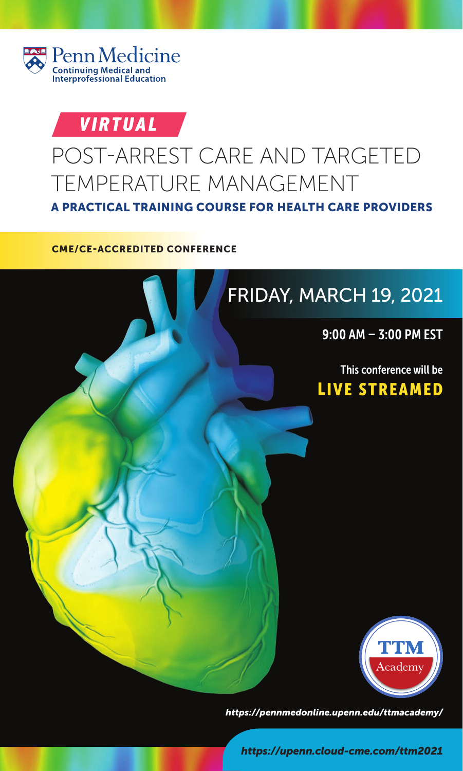

# VIRTUAL

# POST-ARREST CARE AND TARGETED TEMPERATURE MANAGEMENT



*https://pennmedonline.upenn.edu/ttmacademy/*

*https://upenn.cloud-cme.com/ttm2021*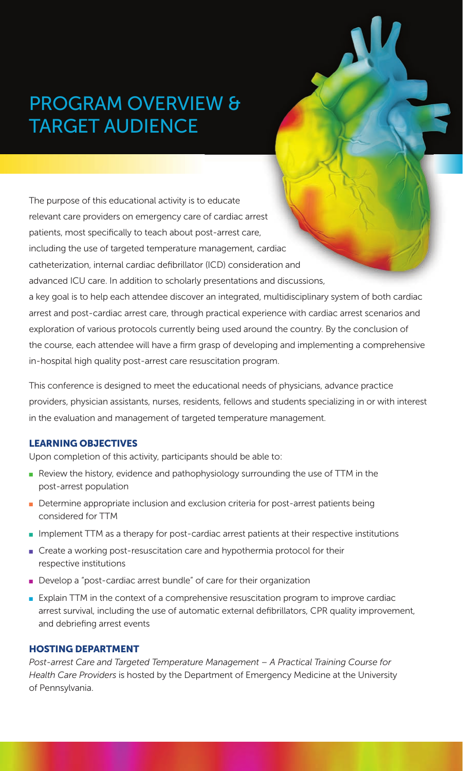# PROGRAM OVERVIEW & TARGET AUDIENCE

The purpose of this educational activity is to educate relevant care providers on emergency care of cardiac arrest patients, most specifically to teach about post-arrest care, including the use of targeted temperature management, cardiac catheterization, internal cardiac defibrillator (ICD) consideration and advanced ICU care. In addition to scholarly presentations and discussions, a key goal is to help each attendee discover an integrated, multidisciplinary system of both cardiac arrest and post-cardiac arrest care, through practical experience with cardiac arrest scenarios and exploration of various protocols currently being used around the country. By the conclusion of the course, each attendee will have a firm grasp of developing and implementing a comprehensive in-hospital high quality post-arrest care resuscitation program.

This conference is designed to meet the educational needs of physicians, advance practice providers, physician assistants, nurses, residents, fellows and students specializing in or with interest in the evaluation and management of targeted temperature management.

#### **LEARNING OBJECTIVES**

**LEARNING OBJECTIVES**  Upon completion of this activity, participants should be able to:

- Review the history, evidence and pathophysiology surrounding the use of TTM in the post-arrest population
- Determine appropriate inclusion and exclusion criteria for post-arrest patients being considered for TTM
- Implement TTM as a therapy for post-cardiac arrest patients at their respective institutions
- Create a working post-resuscitation care and hypothermia protocol for their respective institutions
- Develop a "post-cardiac arrest bundle" of care for their organization
- Explain TTM in the context of a comprehensive resuscitation program to improve cardiac arrest survival, including the use of automatic external defibrillators, CPR quality improvement, and debriefing arrest events

#### **HOSTING DEPARTMENT**

**HOSTING DEPARTMENT** *Post-arrest Care and Targeted Temperature Management – A Practical Training Course for Health Care Providers* is hosted by the Department of Emergency Medicine at the University of Pennsylvania.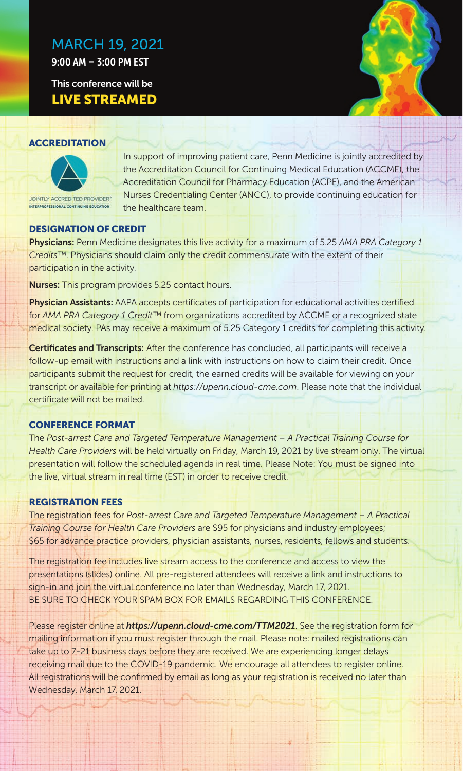# MARCH 19, 2021

9:00 AM – 3:00 PM EST

**This conference will be LIVE STREAMED LIVE STREAMED**



In support of improving patient care, Penn Medicine is jointly accredited by the Accreditation Council for Continuing Medical Education (ACCME), the Accreditation Council for Pharmacy Education (ACPE), and the American Nurses Credentialing Center (ANCC), to provide continuing education for the healthcare team.

### **DESIGNATION OF CREDIT**

**Physicians:** Penn Medicine designates this live activity for a maximum of 5.25 AMA PRA Category 1 *Credits™*. Physicians should claim only the credit commensurate with the extent of their participation in the activity.

**Nurses:** This program provides 5.25 contact hours.

**Physician Assistants:** AAPA accepts certificates of participation for educational activities certified for *AMA PRA Category 1 Credit™* from organizations accredited by ACCME or a recognized state medical society. PAs may receive a maximum of 5.25 Category 1 credits for completing this activity.

**Certificates and Transcripts:** After the conference has concluded, all participants will receive a follow-up email with instructions and a link with instructions on how to claim their credit. Once participants submit the request for credit, the earned credits will be available for viewing on your transcript or available for printing at *https://upenn.cloud-cme.com*. Please note that the individual certificate will not be mailed.

#### **CONFERENCE FORMAT**

**The Post-arrest Care and Targeted Temperature Management – A Practical Training Course for** *Health Care Providers* will be held virtually on Friday, March 19, 2021 by live stream only. The virtual presentation will follow the scheduled agenda in real time. Please Note: You must be signed into the live, virtual stream in real time (EST) in order to receive credit.

The registration fees for *Post-arrest Care and Targeted Temperature Management – A Practical Training Course for Health Care Providers* are \$95 for physicians and industry employees; \$65 for advance practice providers, physician assistants, nurses, residents, fellows and students.

The registration fee includes live stream access to the conference and access to view the presentations (slides) online. All pre-registered attendees will receive a link and instructions to sign-in and join the virtual conference no later than Wednesday, March 17, 2021. BE SURE TO CHECK YOUR SPAM BOX FOR EMAILS REGARDING THIS CONFERENCE.

Please register online at *https://upenn.cloud-cme.com/TTM2021*. See the registration form for mailing information if you must register through the mail. Please note: mailed registrations can take up to 7-21 business days before they are received. We are experiencing longer delays receiving mail due to the COVID-19 pandemic. We encourage all attendees to register online. All registrations will be confirmed by email as long as your registration is received no later than Wednesday, March 17, 2021.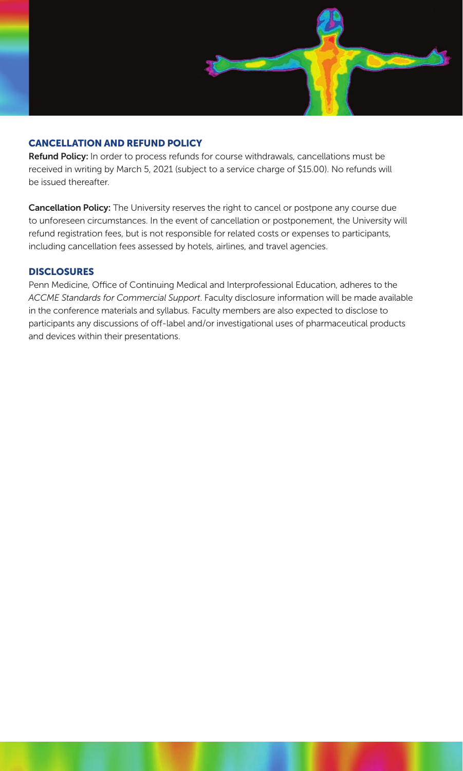

**Refund Policy:** In order to process refunds for course withdrawals, cancellations must be received in writing by March 5, 2021 (subject to a service charge of \$15.00). No refunds will be issued thereafter.

**Cancellation Policy:** The University reserves the right to cancel or postpone any course due to unforeseen circumstances. In the event of cancellation or postponement, the University will refund registration fees, but is not responsible for related costs or expenses to participants, including cancellation fees assessed by hotels, airlines, and travel agencies.

**DISCLOSURES** Penn Medicine, Office of Continuing Medical and Interprofessional Education, adheres to the *ACCME Standards for Commercial Support*. Faculty disclosure information will be made available in the conference materials and syllabus. Faculty members are also expected to disclose to participants any discussions of off-label and/or investigational uses of pharmaceutical products and devices within their presentations.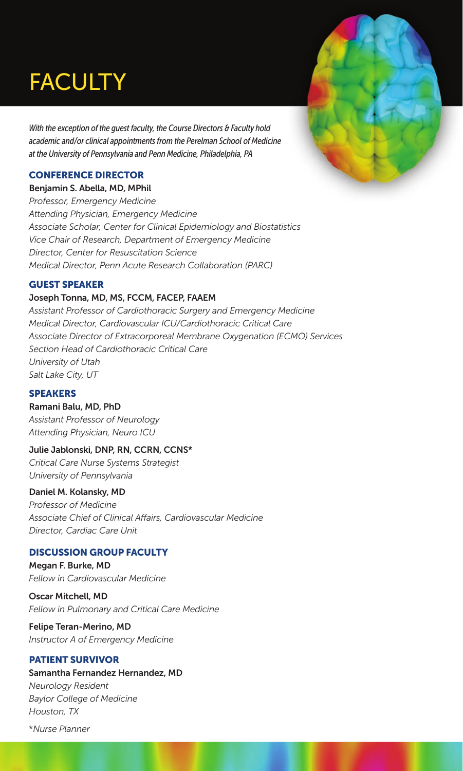# **FACULTY**

*With the exception of the guest faculty, the Course Directors & Faculty hold academic and/or clinical appointments from the Perelman School of Medicine at the University of Pennsylvania and Penn Medicine, Philadelphia, PA*

#### **CONFERENCE DIRECTOR**

**CONFERENCE DIRECTOR Benjamin S. Abella, MD, MPhil** *Professor, Emergency Medicine Attending Physician, Emergency Medicine Associate Scholar, Center for Clinical Epidemiology and Biostatistics Vice Chair of Research, Department of Emergency Medicine Director, Center for Resuscitation Science Medical Director, Penn Acute Research Collaboration (PARC)*

### **GUEST SPEAKER**

### **GUEST SPEAKER Joseph Tonna, MD, MS, FCCM, FACEP, FAAEM**

*Assistant Professor of Cardiothoracic Surgery and Emergency Medicine Medical Director, Cardiovascular ICU/Cardiothoracic Critical Care Associate Director of Extracorporeal Membrane Oxygenation (ECMO) Services Section Head of Cardiothoracic Critical Care University of Utah Salt Lake City, UT*

#### **SPEAKERS**

**SPEAKERS Ramani Balu, MD, PhD** *Assistant Professor of Neurology* 

*Attending Physician, Neuro ICU* 

#### **Julie Jablonski, DNP, RN, CCRN, CCNS\***

*Critical Care Nurse Systems Strategist University of Pennsylvania* 

#### **Daniel M. Kolansky, MD**

*Professor of Medicine Associate Chief of Clinical Affairs, Cardiovascular Medicine Director, Cardiac Care Unit* 

### **DISCUSSION GROUP FACULTY**

**DISCUSSION GROUP FACULTY Megan F. Burke, MD** *Fellow in Cardiovascular Medicine* 

**Oscar Mitchell, MD** *Fellow in Pulmonary and Critical Care Medicine* 

**Felipe Teran-Merino, MD** *Instructor A of Emergency Medicine* 

### **PATIENT SURVIVOR Samantha Fernandez Hernandez, MD**

*Neurology Resident Baylor College of Medicine Houston, TX*

\**Nurse Planner*

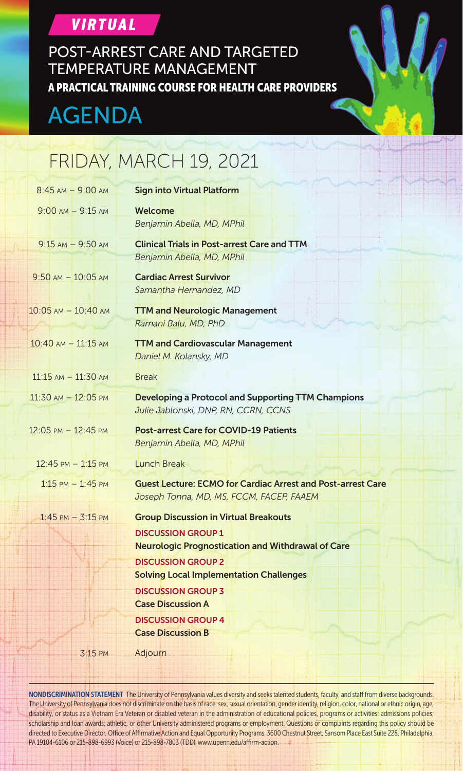### **VIRTUAL**

POST-ARREST CARE AND TARGETED TEMPERATURE MANAGEMENT A PRACTICAL TRAINING COURSE FOR HEALTH CARE PROVIDERS

# AGENDA

# FRIDAY, MARCH 19, 2021

| $8:45$ AM $-9:00$ AM                 | <b>Sign into Virtual Platform</b>                                                                              |  |  |
|--------------------------------------|----------------------------------------------------------------------------------------------------------------|--|--|
| $9:00$ AM $-9:15$ AM                 | Welcome<br>Benjamin Abella, MD, MPhil                                                                          |  |  |
| $9:15$ AM $-9:50$ AM                 | <b>Clinical Trials in Post-arrest Care and TTM</b><br>Benjamin Abella, MD, MPhil                               |  |  |
| $9:50$ AM $- 10:05$ AM               | <b>Cardiac Arrest Survivor</b><br>Samantha Hernandez, MD                                                       |  |  |
| $10:05$ AM $- 10:40$ AM              | <b>TTM and Neurologic Management</b><br>Ramani Balu, MD, PhD                                                   |  |  |
| $10:40$ AM $- 11:15$ AM              | <b>TTM and Cardiovascular Management</b><br>Daniel M. Kolansky, MD                                             |  |  |
| $11:15$ AM $- 11:30$ AM              | <b>Break</b>                                                                                                   |  |  |
| $11:30$ AM $- 12:05$ PM              | <b>Developing a Protocol and Supporting TTM Champions</b><br>Julie Jablonski, DNP, RN, CCRN, CCNS              |  |  |
| 12:05 PM - 12:45 PM                  | <b>Post-arrest Care for COVID-19 Patients</b><br>Benjamin Abella, MD, MPhil                                    |  |  |
| $12:45 \text{ PM} - 1:15 \text{ PM}$ | Lunch Break                                                                                                    |  |  |
| $1:15$ PM $-1:45$ PM                 | <b>Guest Lecture: ECMO for Cardiac Arrest and Post-arrest Care</b><br>Joseph Tonna, MD, MS, FCCM, FACEP, FAAEM |  |  |
| $1:45$ PM $- 3:15$ PM                | <b>Group Discussion in Virtual Breakouts</b>                                                                   |  |  |
|                                      | <b>DISCUSSION GROUP 1</b><br><b>Neurologic Prognostication and Withdrawal of Care</b>                          |  |  |
|                                      | <b>DISCUSSION GROUP 2</b><br><b>Solving Local Implementation Challenges</b>                                    |  |  |
|                                      | <b>DISCUSSION GROUP 3</b>                                                                                      |  |  |
|                                      | <b>Case Discussion A</b>                                                                                       |  |  |
|                                      | <b>DISCUSSION GROUP 4</b><br><b>Case Discussion B</b>                                                          |  |  |
| $3:15$ PM                            | Adjourn                                                                                                        |  |  |

NONDISCRIMINATION STATEMENT The University of Pennsylvania values diversity and seeks talented students, faculty, and staff from diverse backgrounds. The University of Pennsylvania does not discriminate on the basis of race, sex, sexual orientation, gender identity, religion, color, national or ethnic origin, age, disability, or status as a Vietnam Era Veteran or disabled veteran in the administration of educational policies, programs or activities; admissions policies; scholarship and loan awards; athletic, or other University administered programs or employment. Questions or complaints regarding this policy should be directed to Executive Director, Office of Affirmative Action and Equal Opportunity Programs, 3600 Chestnut Street, Sansom Place East Suite 228, Philadelphia, PA 19104-6106 or 215-898-6993 (Voice) or 215-898-7803 (TDD). www.upenn.edu/affirm-action.